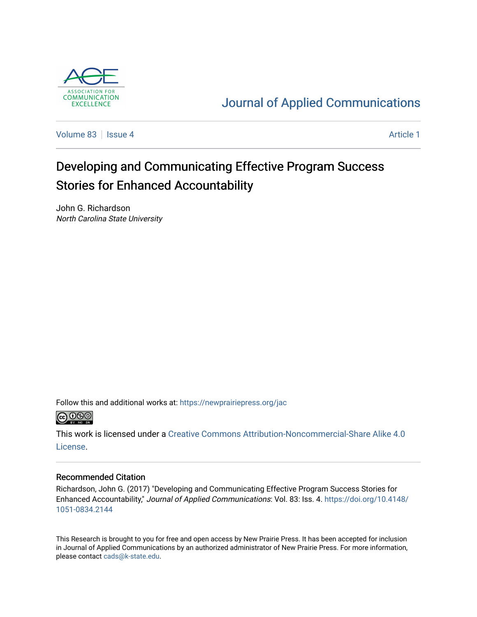

## [Journal of Applied Communications](https://newprairiepress.org/jac)

[Volume 83](https://newprairiepress.org/jac/vol83) | [Issue 4](https://newprairiepress.org/jac/vol83/iss4) Article 1

# Developing and Communicating Effective Program Success Stories for Enhanced Accountability

John G. Richardson North Carolina State University

Follow this and additional works at: [https://newprairiepress.org/jac](https://newprairiepress.org/jac?utm_source=newprairiepress.org%2Fjac%2Fvol83%2Fiss4%2F1&utm_medium=PDF&utm_campaign=PDFCoverPages)



This work is licensed under a [Creative Commons Attribution-Noncommercial-Share Alike 4.0](https://creativecommons.org/licenses/by-nc-sa/4.0/) [License.](https://creativecommons.org/licenses/by-nc-sa/4.0/)

### Recommended Citation

Richardson, John G. (2017) "Developing and Communicating Effective Program Success Stories for Enhanced Accountability," Journal of Applied Communications: Vol. 83: Iss. 4. [https://doi.org/10.4148/](https://doi.org/10.4148/1051-0834.2144) [1051-0834.2144](https://doi.org/10.4148/1051-0834.2144) 

This Research is brought to you for free and open access by New Prairie Press. It has been accepted for inclusion in Journal of Applied Communications by an authorized administrator of New Prairie Press. For more information, please contact [cads@k-state.edu.](mailto:cads@k-state.edu)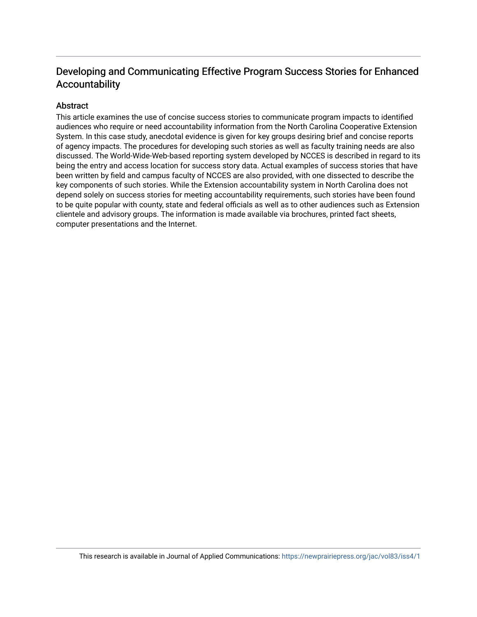## Developing and Communicating Effective Program Success Stories for Enhanced Accountability

## Abstract

This article examines the use of concise success stories to communicate program impacts to identified audiences who require or need accountability information from the North Carolina Cooperative Extension System. In this case study, anecdotal evidence is given for key groups desiring brief and concise reports of agency impacts. The procedures for developing such stories as well as faculty training needs are also discussed. The World-Wide-Web-based reporting system developed by NCCES is described in regard to its being the entry and access location for success story data. Actual examples of success stories that have been written by field and campus faculty of NCCES are also provided, with one dissected to describe the key components of such stories. While the Extension accountability system in North Carolina does not depend solely on success stories for meeting accountability requirements, such stories have been found to be quite popular with county, state and federal officials as well as to other audiences such as Extension clientele and advisory groups. The information is made available via brochures, printed fact sheets, computer presentations and the Internet.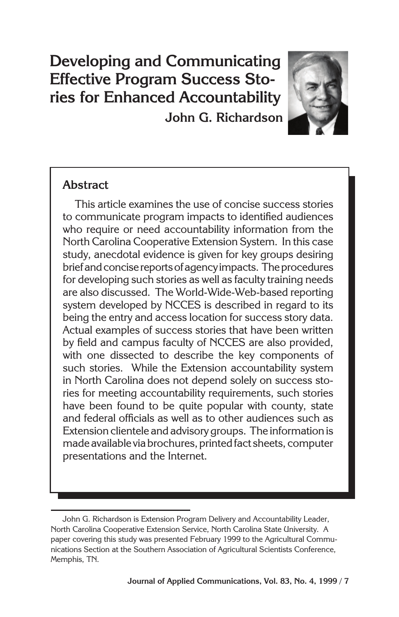## **Developing and Communicating Effective Program Success Stories for Enhanced Accountability John G. Richardson**



## **Abstract**

This article examines the use of concise success stories to communicate program impacts to identified audiences who require or need accountability information from the North Carolina Cooperative Extension System. In this case study, anecdotal evidence is given for key groups desiring brief and concise reports of agency impacts. The procedures for developing such stories as well as faculty training needs are also discussed. The World-Wide-Web-based reporting system developed by NCCES is described in regard to its being the entry and access location for success story data. Actual examples of success stories that have been written by field and campus faculty of NCCES are also provided, with one dissected to describe the key components of such stories. While the Extension accountability system in North Carolina does not depend solely on success stories for meeting accountability requirements, such stories have been found to be quite popular with county, state and federal officials as well as to other audiences such as Extension clientele and advisory groups. The information is made available via brochures, printed fact sheets, computer presentations and the Internet.

John G. Richardson is Extension Program Delivery and Accountability Leader, North Carolina Cooperative Extension Service, North Carolina State University. A paper covering this study was presented February 1999 to the Agricultural Communications Section at the Southern Association of Agricultural Scientists Conference, Memphis, TN.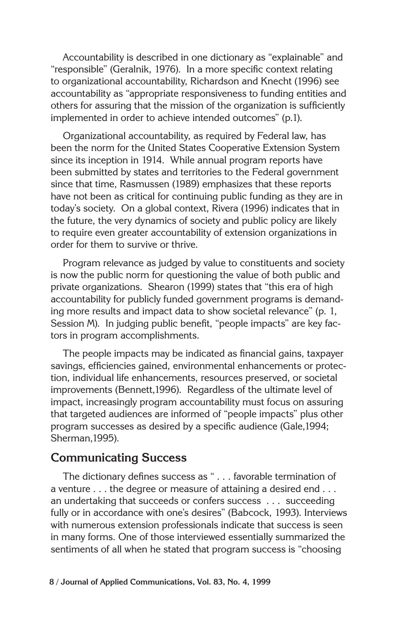Accountability is described in one dictionary as "explainable" and "responsible" (Geralnik, 1976). In a more specific context relating to organizational accountability, Richardson and Knecht (1996) see accountability as "appropriate responsiveness to funding entities and others for assuring that the mission of the organization is sufficiently implemented in order to achieve intended outcomes" (p.1).

Organizational accountability, as required by Federal law, has been the norm for the United States Cooperative Extension System since its inception in 1914. While annual program reports have been submitted by states and territories to the Federal government since that time, Rasmussen (1989) emphasizes that these reports have not been as critical for continuing public funding as they are in today's society. On a global context, Rivera (1996) indicates that in the future, the very dynamics of society and public policy are likely to require even greater accountability of extension organizations in order for them to survive or thrive.

Program relevance as judged by value to constituents and society is now the public norm for questioning the value of both public and private organizations. Shearon (1999) states that "this era of high accountability for publicly funded government programs is demanding more results and impact data to show societal relevance" (p. 1, Session M). In judging public benefit, "people impacts" are key factors in program accomplishments.

The people impacts may be indicated as financial gains, taxpayer savings, efficiencies gained, environmental enhancements or protection, individual life enhancements, resources preserved, or societal improvements (Bennett,1996). Regardless of the ultimate level of impact, increasingly program accountability must focus on assuring that targeted audiences are informed of "people impacts" plus other program successes as desired by a specific audience (Gale,1994; Sherman,1995).

#### **Communicating Success**

The dictionary defines success as " . . . favorable termination of a venture . . . the degree or measure of attaining a desired end . . . an undertaking that succeeds or confers success . . . succeeding fully or in accordance with one's desires" (Babcock, 1993). Interviews with numerous extension professionals indicate that success is seen in many forms. One of those interviewed essentially summarized the sentiments of all when he stated that program success is "choosing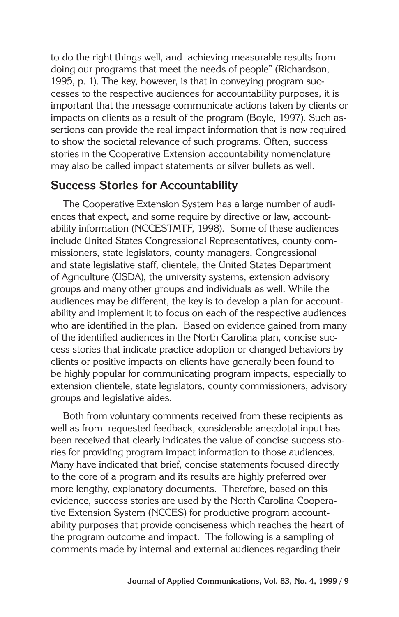to do the right things well, and achieving measurable results from doing our programs that meet the needs of people" (Richardson, 1995, p. 1). The key, however, is that in conveying program successes to the respective audiences for accountability purposes, it is important that the message communicate actions taken by clients or impacts on clients as a result of the program (Boyle, 1997). Such assertions can provide the real impact information that is now required to show the societal relevance of such programs. Often, success stories in the Cooperative Extension accountability nomenclature may also be called impact statements or silver bullets as well.

## **Success Stories for Accountability**

The Cooperative Extension System has a large number of audiences that expect, and some require by directive or law, accountability information (NCCESTMTF, 1998). Some of these audiences include United States Congressional Representatives, county commissioners, state legislators, county managers, Congressional and state legislative staff, clientele, the United States Department of Agriculture (USDA), the university systems, extension advisory groups and many other groups and individuals as well. While the audiences may be different, the key is to develop a plan for accountability and implement it to focus on each of the respective audiences who are identified in the plan. Based on evidence gained from many of the identified audiences in the North Carolina plan, concise success stories that indicate practice adoption or changed behaviors by clients or positive impacts on clients have generally been found to be highly popular for communicating program impacts, especially to extension clientele, state legislators, county commissioners, advisory groups and legislative aides.

Both from voluntary comments received from these recipients as well as from requested feedback, considerable anecdotal input has been received that clearly indicates the value of concise success stories for providing program impact information to those audiences. Many have indicated that brief, concise statements focused directly to the core of a program and its results are highly preferred over more lengthy, explanatory documents. Therefore, based on this evidence, success stories are used by the North Carolina Cooperative Extension System (NCCES) for productive program accountability purposes that provide conciseness which reaches the heart of the program outcome and impact. The following is a sampling of comments made by internal and external audiences regarding their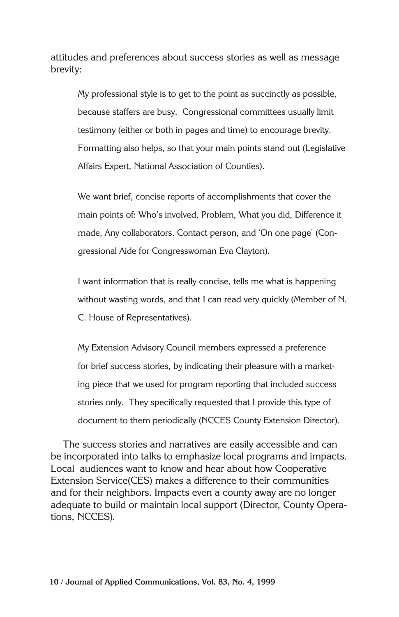attitudes and preferences about success stories as well as message brevity:

My professional style is to get to the point as succinctly as possible, because staffers are busy. Congressional committees usually limit testimony (either or both in pages and time) to encourage brevity. Formatting also helps, so that your main points stand out (Legislative Affairs Expert, National Association of Counties).

We want brief, concise reports of accomplishments that cover the main points of: Who's involved, Problem, What you did, Difference it made, Any collaborators, Contact person, and 'On one page' (Congressional Aide for Congresswoman Eva Clayton).

I want information that is really concise, tells me what is happening without wasting words, and that I can read very quickly (Member of N. C. House of Representatives).

My Extension Advisory Council members expressed a preference for brief success stories, by indicating their pleasure with a marketing piece that we used for program reporting that included success stories only. They specifically requested that I provide this type of document to them periodically (NCCES County Extension Director).

The success stories and narratives are easily accessible and can be incorporated into talks to emphasize local programs and impacts. Local audiences want to know and hear about how Cooperative Extension Service(CES) makes a difference to their communities and for their neighbors. Impacts even a county away are no longer adequate to build or maintain local support (Director, County Operations, NCCES).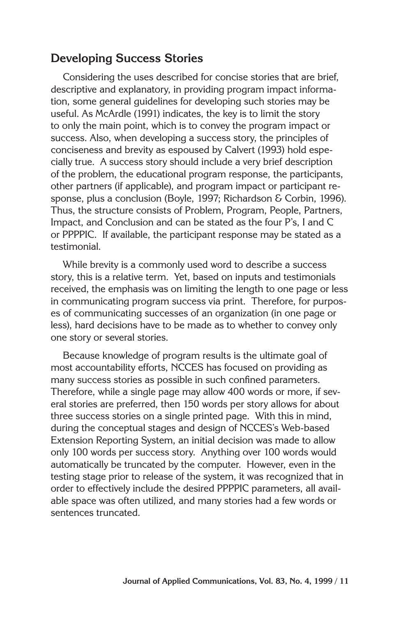## **Developing Success Stories**

Considering the uses described for concise stories that are brief, descriptive and explanatory, in providing program impact information, some general guidelines for developing such stories may be useful. As McArdle (1991) indicates, the key is to limit the story to only the main point, which is to convey the program impact or success. Also, when developing a success story, the principles of conciseness and brevity as espoused by Calvert (1993) hold especially true. A success story should include a very brief description of the problem, the educational program response, the participants, other partners (if applicable), and program impact or participant response, plus a conclusion (Boyle, 1997; Richardson & Corbin, 1996). Thus, the structure consists of Problem, Program, People, Partners, Impact, and Conclusion and can be stated as the four P's, I and C or PPPPIC. If available, the participant response may be stated as a testimonial.

While brevity is a commonly used word to describe a success story, this is a relative term. Yet, based on inputs and testimonials received, the emphasis was on limiting the length to one page or less in communicating program success via print. Therefore, for purposes of communicating successes of an organization (in one page or less), hard decisions have to be made as to whether to convey only one story or several stories.

Because knowledge of program results is the ultimate goal of most accountability efforts, NCCES has focused on providing as many success stories as possible in such confined parameters. Therefore, while a single page may allow 400 words or more, if several stories are preferred, then 150 words per story allows for about three success stories on a single printed page. With this in mind, during the conceptual stages and design of NCCES's Web-based Extension Reporting System, an initial decision was made to allow only 100 words per success story. Anything over 100 words would automatically be truncated by the computer. However, even in the testing stage prior to release of the system, it was recognized that in order to effectively include the desired PPPPIC parameters, all available space was often utilized, and many stories had a few words or sentences truncated.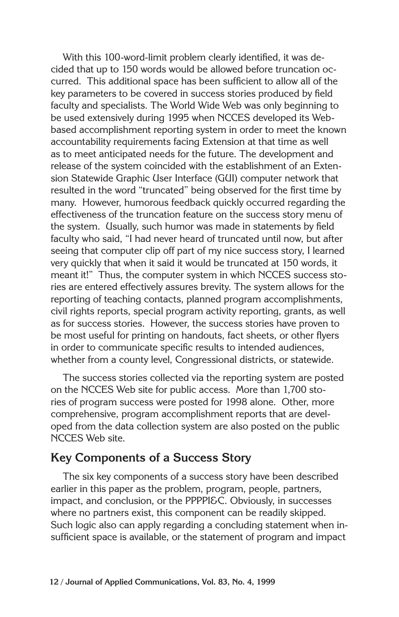With this 100-word-limit problem clearly identified, it was decided that up to 150 words would be allowed before truncation occurred. This additional space has been sufficient to allow all of the key parameters to be covered in success stories produced by field faculty and specialists. The World Wide Web was only beginning to be used extensively during 1995 when NCCES developed its Webbased accomplishment reporting system in order to meet the known accountability requirements facing Extension at that time as well as to meet anticipated needs for the future. The development and release of the system coincided with the establishment of an Extension Statewide Graphic User Interface (GUI) computer network that resulted in the word "truncated" being observed for the first time by many. However, humorous feedback quickly occurred regarding the effectiveness of the truncation feature on the success story menu of the system. Usually, such humor was made in statements by field faculty who said, "I had never heard of truncated until now, but after seeing that computer clip off part of my nice success story, I learned very quickly that when it said it would be truncated at 150 words, it meant it!" Thus, the computer system in which NCCES success stories are entered effectively assures brevity. The system allows for the reporting of teaching contacts, planned program accomplishments, civil rights reports, special program activity reporting, grants, as well as for success stories. However, the success stories have proven to be most useful for printing on handouts, fact sheets, or other flyers in order to communicate specific results to intended audiences, whether from a county level, Congressional districts, or statewide.

The success stories collected via the reporting system are posted on the NCCES Web site for public access. More than 1,700 stories of program success were posted for 1998 alone. Other, more comprehensive, program accomplishment reports that are developed from the data collection system are also posted on the public NCCES Web site.

## **Key Components of a Success Story**

The six key components of a success story have been described earlier in this paper as the problem, program, people, partners, impact, and conclusion, or the PPPPI&C. Obviously, in successes where no partners exist, this component can be readily skipped. Such logic also can apply regarding a concluding statement when insufficient space is available, or the statement of program and impact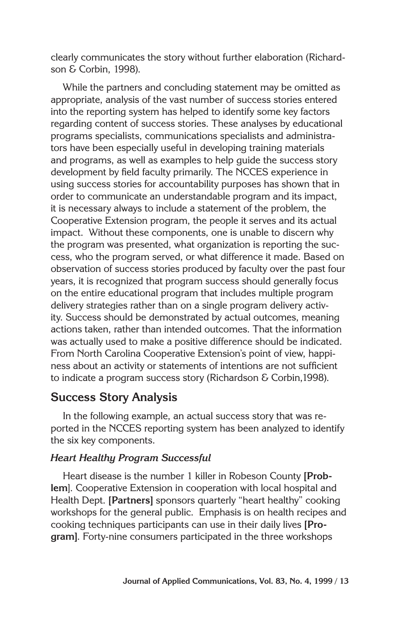clearly communicates the story without further elaboration (Richardson & Corbin, 1998).

While the partners and concluding statement may be omitted as appropriate, analysis of the vast number of success stories entered into the reporting system has helped to identify some key factors regarding content of success stories. These analyses by educational programs specialists, communications specialists and administrators have been especially useful in developing training materials and programs, as well as examples to help guide the success story development by field faculty primarily. The NCCES experience in using success stories for accountability purposes has shown that in order to communicate an understandable program and its impact, it is necessary always to include a statement of the problem, the Cooperative Extension program, the people it serves and its actual impact. Without these components, one is unable to discern why the program was presented, what organization is reporting the success, who the program served, or what difference it made. Based on observation of success stories produced by faculty over the past four years, it is recognized that program success should generally focus on the entire educational program that includes multiple program delivery strategies rather than on a single program delivery activity. Success should be demonstrated by actual outcomes, meaning actions taken, rather than intended outcomes. That the information was actually used to make a positive difference should be indicated. From North Carolina Cooperative Extension's point of view, happiness about an activity or statements of intentions are not sufficient to indicate a program success story (Richardson & Corbin,1998).

## **Success Story Analysis**

In the following example, an actual success story that was reported in the NCCES reporting system has been analyzed to identify the six key components.

### **Heart Healthy Program Successful**

Heart disease is the number 1 killer in Robeson County **[Problem**]. Cooperative Extension in cooperation with local hospital and Health Dept. **[Partners]** sponsors quarterly "heart healthy" cooking workshops for the general public. Emphasis is on health recipes and cooking techniques participants can use in their daily lives **[Program]**. Forty-nine consumers participated in the three workshops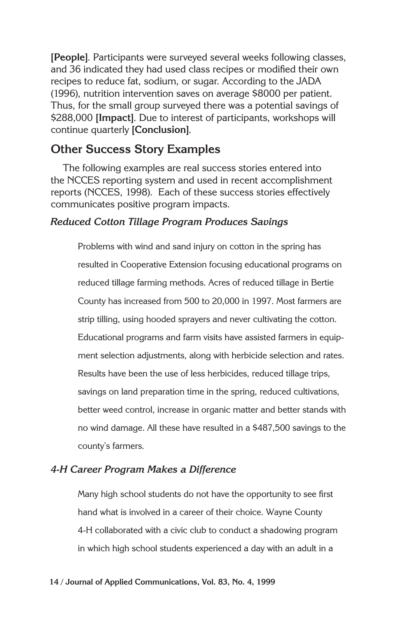**[People]**. Participants were surveyed several weeks following classes, and 36 indicated they had used class recipes or modified their own recipes to reduce fat, sodium, or sugar. According to the JADA (1996), nutrition intervention saves on average \$8000 per patient. Thus, for the small group surveyed there was a potential savings of \$288,000 **[Impact]**. Due to interest of participants, workshops will continue quarterly **[Conclusion]**.

## **Other Success Story Examples**

The following examples are real success stories entered into the NCCES reporting system and used in recent accomplishment reports (NCCES, 1998). Each of these success stories effectively communicates positive program impacts.

#### **Reduced Cotton Tillage Program Produces Savings**

Problems with wind and sand injury on cotton in the spring has resulted in Cooperative Extension focusing educational programs on reduced tillage farming methods. Acres of reduced tillage in Bertie County has increased from 500 to 20,000 in 1997. Most farmers are strip tilling, using hooded sprayers and never cultivating the cotton. Educational programs and farm visits have assisted farmers in equipment selection adjustments, along with herbicide selection and rates. Results have been the use of less herbicides, reduced tillage trips, savings on land preparation time in the spring, reduced cultivations, better weed control, increase in organic matter and better stands with no wind damage. All these have resulted in a \$487,500 savings to the county's farmers.

#### **4-H Career Program Makes a Difference**

Many high school students do not have the opportunity to see first hand what is involved in a career of their choice. Wayne County 4-H collaborated with a civic club to conduct a shadowing program in which high school students experienced a day with an adult in a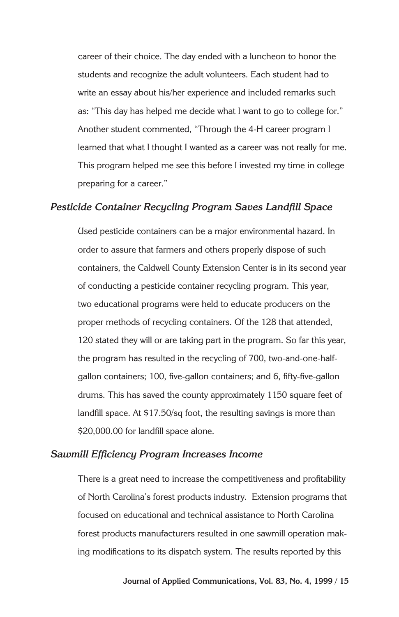career of their choice. The day ended with a luncheon to honor the students and recognize the adult volunteers. Each student had to write an essay about his/her experience and included remarks such as: "This day has helped me decide what I want to go to college for." Another student commented, "Through the 4-H career program I learned that what I thought I wanted as a career was not really for me. This program helped me see this before I invested my time in college preparing for a career."

#### **Pesticide Container Recycling Program Saves Landfill Space**

Used pesticide containers can be a major environmental hazard. In order to assure that farmers and others properly dispose of such containers, the Caldwell County Extension Center is in its second year of conducting a pesticide container recycling program. This year, two educational programs were held to educate producers on the proper methods of recycling containers. Of the 128 that attended, 120 stated they will or are taking part in the program. So far this year, the program has resulted in the recycling of 700, two-and-one-halfgallon containers; 100, five-gallon containers; and 6, fifty-five-gallon drums. This has saved the county approximately 1150 square feet of landfill space. At \$17.50/sq foot, the resulting savings is more than \$20,000.00 for landfill space alone.

#### **Sawmill Efficiency Program Increases Income**

There is a great need to increase the competitiveness and profitability of North Carolina's forest products industry. Extension programs that focused on educational and technical assistance to North Carolina forest products manufacturers resulted in one sawmill operation making modifications to its dispatch system. The results reported by this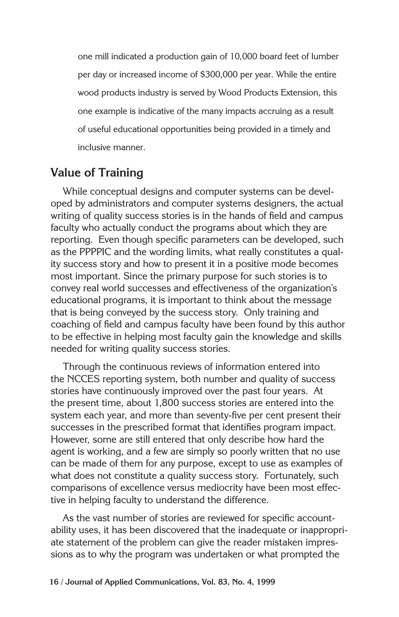one mill indicated a production gain of 10,000 board feet of lumber per day or increased income of \$300,000 per year. While the entire wood products industry is served by Wood Products Extension, this one example is indicative of the many impacts accruing as a result of useful educational opportunities being provided in a timely and inclusive manner.

## **Value of Training**

While conceptual designs and computer systems can be developed by administrators and computer systems designers, the actual writing of quality success stories is in the hands of field and campus faculty who actually conduct the programs about which they are reporting. Even though specific parameters can be developed, such as the PPPPIC and the wording limits, what really constitutes a quality success story and how to present it in a positive mode becomes most important. Since the primary purpose for such stories is to convey real world successes and effectiveness of the organization's educational programs, it is important to think about the message that is being conveyed by the success story. Only training and coaching of field and campus faculty have been found by this author to be effective in helping most faculty gain the knowledge and skills needed for writing quality success stories.

Through the continuous reviews of information entered into the NCCES reporting system, both number and quality of success stories have continuously improved over the past four years. At the present time, about 1,800 success stories are entered into the system each year, and more than seventy-five per cent present their successes in the prescribed format that identifies program impact. However, some are still entered that only describe how hard the agent is working, and a few are simply so poorly written that no use can be made of them for any purpose, except to use as examples of what does not constitute a quality success story. Fortunately, such comparisons of excellence versus mediocrity have been most effective in helping faculty to understand the difference.

As the vast number of stories are reviewed for specific accountability uses, it has been discovered that the inadequate or inappropriate statement of the problem can give the reader mistaken impressions as to why the program was undertaken or what prompted the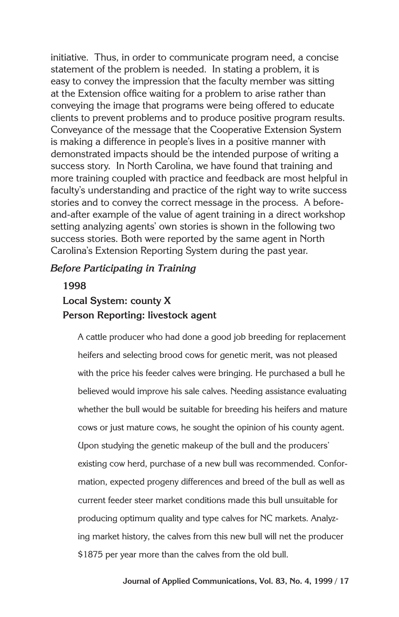initiative. Thus, in order to communicate program need, a concise statement of the problem is needed. In stating a problem, it is easy to convey the impression that the faculty member was sitting at the Extension office waiting for a problem to arise rather than conveying the image that programs were being offered to educate clients to prevent problems and to produce positive program results. Conveyance of the message that the Cooperative Extension System is making a difference in people's lives in a positive manner with demonstrated impacts should be the intended purpose of writing a success story. In North Carolina, we have found that training and more training coupled with practice and feedback are most helpful in faculty's understanding and practice of the right way to write success stories and to convey the correct message in the process. A beforeand-after example of the value of agent training in a direct workshop setting analyzing agents' own stories is shown in the following two success stories. Both were reported by the same agent in North Carolina's Extension Reporting System during the past year.

#### **Before Participating in Training**

## **1998 Local System: county X Person Reporting: livestock agent**

A cattle producer who had done a good job breeding for replacement heifers and selecting brood cows for genetic merit, was not pleased with the price his feeder calves were bringing. He purchased a bull he believed would improve his sale calves. Needing assistance evaluating whether the bull would be suitable for breeding his heifers and mature cows or just mature cows, he sought the opinion of his county agent. Upon studying the genetic makeup of the bull and the producers' existing cow herd, purchase of a new bull was recommended. Conformation, expected progeny differences and breed of the bull as well as current feeder steer market conditions made this bull unsuitable for producing optimum quality and type calves for NC markets. Analyzing market history, the calves from this new bull will net the producer \$1875 per year more than the calves from the old bull.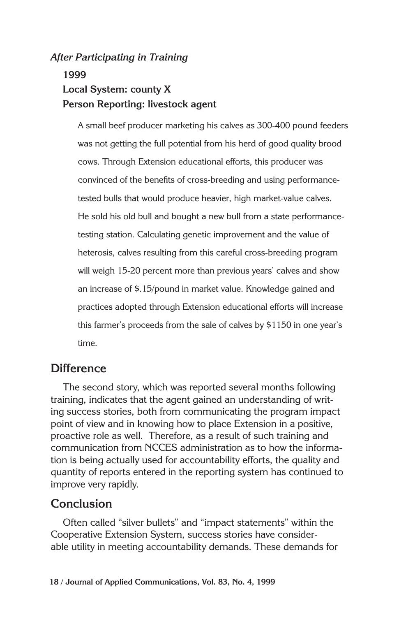#### **After Participating in Training**

## **1999 Local System: county X Person Reporting: livestock agent**

A small beef producer marketing his calves as 300-400 pound feeders was not getting the full potential from his herd of good quality brood cows. Through Extension educational efforts, this producer was convinced of the benefits of cross-breeding and using performancetested bulls that would produce heavier, high market-value calves. He sold his old bull and bought a new bull from a state performancetesting station. Calculating genetic improvement and the value of heterosis, calves resulting from this careful cross-breeding program will weigh 15-20 percent more than previous years' calves and show an increase of \$.15/pound in market value. Knowledge gained and practices adopted through Extension educational efforts will increase this farmer's proceeds from the sale of calves by \$1150 in one year's time.

#### **Difference**

The second story, which was reported several months following training, indicates that the agent gained an understanding of writing success stories, both from communicating the program impact point of view and in knowing how to place Extension in a positive, proactive role as well. Therefore, as a result of such training and communication from NCCES administration as to how the information is being actually used for accountability efforts, the quality and quantity of reports entered in the reporting system has continued to improve very rapidly.

## **Conclusion**

Often called "silver bullets" and "impact statements" within the Cooperative Extension System, success stories have considerable utility in meeting accountability demands. These demands for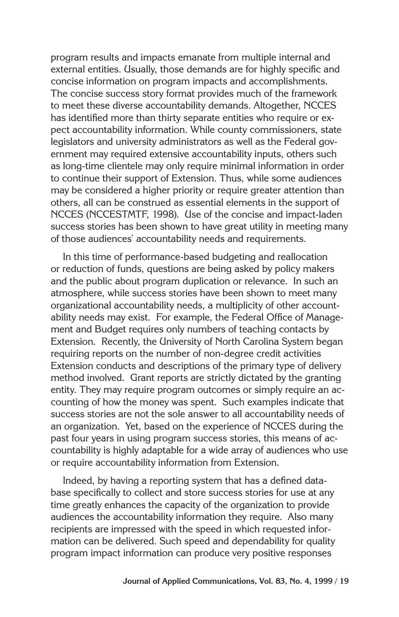program results and impacts emanate from multiple internal and external entities. Usually, those demands are for highly specific and concise information on program impacts and accomplishments. The concise success story format provides much of the framework to meet these diverse accountability demands. Altogether, NCCES has identified more than thirty separate entities who require or expect accountability information. While county commissioners, state legislators and university administrators as well as the Federal government may required extensive accountability inputs, others such as long-time clientele may only require minimal information in order to continue their support of Extension. Thus, while some audiences may be considered a higher priority or require greater attention than others, all can be construed as essential elements in the support of NCCES (NCCESTMTF, 1998). Use of the concise and impact-laden success stories has been shown to have great utility in meeting many of those audiences' accountability needs and requirements.

In this time of performance-based budgeting and reallocation or reduction of funds, questions are being asked by policy makers and the public about program duplication or relevance. In such an atmosphere, while success stories have been shown to meet many organizational accountability needs, a multiplicity of other accountability needs may exist. For example, the Federal Office of Management and Budget requires only numbers of teaching contacts by Extension. Recently, the University of North Carolina System began requiring reports on the number of non-degree credit activities Extension conducts and descriptions of the primary type of delivery method involved. Grant reports are strictly dictated by the granting entity. They may require program outcomes or simply require an accounting of how the money was spent. Such examples indicate that success stories are not the sole answer to all accountability needs of an organization. Yet, based on the experience of NCCES during the past four years in using program success stories, this means of accountability is highly adaptable for a wide array of audiences who use or require accountability information from Extension.

Indeed, by having a reporting system that has a defined database specifically to collect and store success stories for use at any time greatly enhances the capacity of the organization to provide audiences the accountability information they require. Also many recipients are impressed with the speed in which requested information can be delivered. Such speed and dependability for quality program impact information can produce very positive responses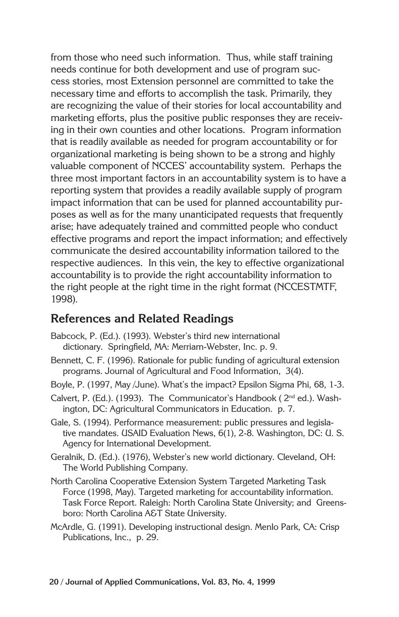from those who need such information. Thus, while staff training needs continue for both development and use of program success stories, most Extension personnel are committed to take the necessary time and efforts to accomplish the task. Primarily, they are recognizing the value of their stories for local accountability and marketing efforts, plus the positive public responses they are receiving in their own counties and other locations. Program information that is readily available as needed for program accountability or for organizational marketing is being shown to be a strong and highly valuable component of NCCES' accountability system. Perhaps the three most important factors in an accountability system is to have a reporting system that provides a readily available supply of program impact information that can be used for planned accountability purposes as well as for the many unanticipated requests that frequently arise; have adequately trained and committed people who conduct effective programs and report the impact information; and effectively communicate the desired accountability information tailored to the respective audiences. In this vein, the key to effective organizational accountability is to provide the right accountability information to the right people at the right time in the right format (NCCESTMTF, 1998).

## **References and Related Readings**

- Babcock, P. (Ed.). (1993). Webster's third new international dictionary. Springfield, MA: Merriam-Webster, Inc. p. 9.
- Bennett, C. F. (1996). Rationale for public funding of agricultural extension programs. Journal of Agricultural and Food Information, 3(4).
- Boyle, P. (1997, May /June). What's the impact? Epsilon Sigma Phi, 68, 1-3.
- Calvert, P. (Ed.). (1993). The Communicator's Handbook ( 2nd ed.). Washington, DC: Agricultural Communicators in Education. p. 7.
- Gale, S. (1994). Performance measurement: public pressures and legislative mandates. USAID Evaluation News, 6(1), 2-8. Washington, DC: U. S. Agency for International Development.
- Geralnik, D. (Ed.). (1976), Webster's new world dictionary. Cleveland, OH: The World Publishing Company.
- North Carolina Cooperative Extension System Targeted Marketing Task Force (1998, May). Targeted marketing for accountability information. Task Force Report. Raleigh: North Carolina State University; and Greensboro: North Carolina A&T State University.
- McArdle, G. (1991). Developing instructional design. Menlo Park, CA: Crisp Publications, Inc., p. 29.